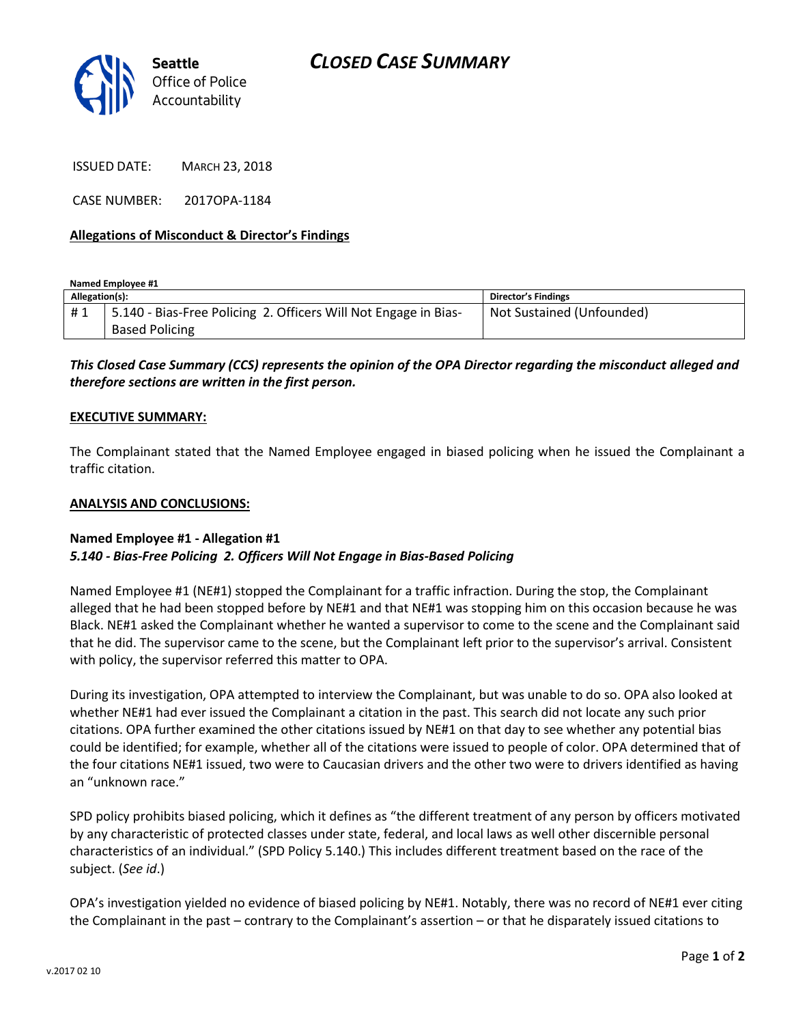

ISSUED DATE: MARCH 23, 2018

CASE NUMBER: 2017OPA-1184

## **Allegations of Misconduct & Director's Findings**

**Named Employee #1**

| Allegation(s): |                                                                 | <b>Director's Findings</b> |
|----------------|-----------------------------------------------------------------|----------------------------|
| #1             | 5.140 - Bias-Free Policing 2. Officers Will Not Engage in Bias- | Not Sustained (Unfounded)  |
|                | <b>Based Policing</b>                                           |                            |

*This Closed Case Summary (CCS) represents the opinion of the OPA Director regarding the misconduct alleged and therefore sections are written in the first person.* 

### **EXECUTIVE SUMMARY:**

The Complainant stated that the Named Employee engaged in biased policing when he issued the Complainant a traffic citation.

### **ANALYSIS AND CONCLUSIONS:**

### **Named Employee #1 - Allegation #1** *5.140 - Bias-Free Policing 2. Officers Will Not Engage in Bias-Based Policing*

Named Employee #1 (NE#1) stopped the Complainant for a traffic infraction. During the stop, the Complainant alleged that he had been stopped before by NE#1 and that NE#1 was stopping him on this occasion because he was Black. NE#1 asked the Complainant whether he wanted a supervisor to come to the scene and the Complainant said that he did. The supervisor came to the scene, but the Complainant left prior to the supervisor's arrival. Consistent with policy, the supervisor referred this matter to OPA.

During its investigation, OPA attempted to interview the Complainant, but was unable to do so. OPA also looked at whether NE#1 had ever issued the Complainant a citation in the past. This search did not locate any such prior citations. OPA further examined the other citations issued by NE#1 on that day to see whether any potential bias could be identified; for example, whether all of the citations were issued to people of color. OPA determined that of the four citations NE#1 issued, two were to Caucasian drivers and the other two were to drivers identified as having an "unknown race."

SPD policy prohibits biased policing, which it defines as "the different treatment of any person by officers motivated by any characteristic of protected classes under state, federal, and local laws as well other discernible personal characteristics of an individual." (SPD Policy 5.140.) This includes different treatment based on the race of the subject. (*See id*.)

OPA's investigation yielded no evidence of biased policing by NE#1. Notably, there was no record of NE#1 ever citing the Complainant in the past – contrary to the Complainant's assertion – or that he disparately issued citations to